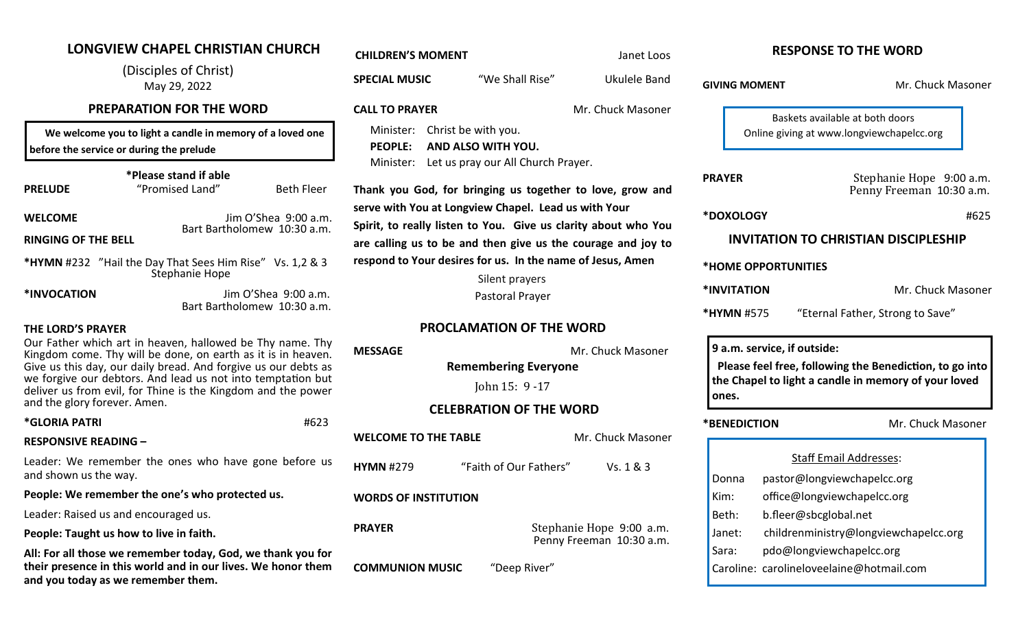# **LONGVIEW CHAPEL CHRISTIAN CHURCH**

(Disciples of Christ) May 29, 2022

# **PREPARATION FOR THE WORD**

We welcome you to light a candle in memory of a loved on **before the service or during the prelude** 

#### **\*Please stand if able**

| <b>PRELUDE</b>             | "Promised Land"                                                            | <b>Beth Fleer</b>    |  |
|----------------------------|----------------------------------------------------------------------------|----------------------|--|
| <b>WELCOME</b>             | Bart Bartholomew 10:30 a.m.                                                | Jim O'Shea 9:00 a.m. |  |
| <b>RINGING OF THE BELL</b> |                                                                            |                      |  |
|                            | *HYMN #232 "Hail the Day That Sees Him Rise" Vs. 1,2 & 3<br>Stephanie Hope |                      |  |

|  | *INVOCATION |
|--|-------------|
|--|-------------|

**Jim O'Shea 9:00 a.** Bart Bartholomew 10:30 a.

# **THE LORD'S PRAYER**

Our Father which art in heaven, hallowed be Thy name. Kingdom come. Thy will be done, on earth as it is in heaven. Give us this day, our daily bread. And forgive us our debts we forgive our debtors. And lead us not into temptation deliver us from evil, for Thine is the Kingdom and the pow and the glory forever. Amen.

# **\*GLORIA PATRI #6**

# **RESPONSIVE READING –**

Leader: We remember the ones who have gone before and shown us the way.

**People: We remember the one's who protected us.**

Leader: Raised us and encouraged us.

**People: Taught us how to live in faith.**

All: For all those we remember today, God, we thank you **their presence in this world and in our lives. We honor them and you today as we remember them.**

| <b>CHILDREN'S MOMENT</b>                            |                                                                                                                                                                                                                                   | Janet Loos                                           | <b>RESPONSE TO THE WORD</b>                                                                                                                             |                                                                   |
|-----------------------------------------------------|-----------------------------------------------------------------------------------------------------------------------------------------------------------------------------------------------------------------------------------|------------------------------------------------------|---------------------------------------------------------------------------------------------------------------------------------------------------------|-------------------------------------------------------------------|
| <b>SPECIAL MUSIC</b>                                | "We Shall Rise"                                                                                                                                                                                                                   | <b>Ukulele Band</b>                                  | <b>GIVING MOMENT</b>                                                                                                                                    | Mr. Chuck Masoner                                                 |
| <b>CALL TO PRAYER</b><br>ne                         | Mr. Chuck Masoner<br>Minister: Christ be with you.                                                                                                                                                                                |                                                      | Baskets available at both doors<br>Online giving at www.longviewchapelcc.org                                                                            |                                                                   |
| <b>PEOPLE:</b><br>Minister:                         | AND ALSO WITH YOU.<br>Let us pray our All Church Prayer.                                                                                                                                                                          |                                                      | <b>PRAYER</b>                                                                                                                                           | Stephanie Hope 9:00 a.m.                                          |
| eer                                                 | Thank you God, for bringing us together to love, grow and<br>serve with You at Longview Chapel. Lead us with Your                                                                                                                 |                                                      |                                                                                                                                                         | Penny Freeman 10:30 a.m.                                          |
| .m.<br>ı.m.                                         | Spirit, to really listen to You. Give us clarity about who You<br>are calling us to be and then give us the courage and joy to<br>respond to Your desires for us. In the name of Jesus, Amen<br>Silent prayers<br>Pastoral Prayer |                                                      | *DOXOLOGY                                                                                                                                               | #625                                                              |
| $\sqrt{3}$                                          |                                                                                                                                                                                                                                   |                                                      | <b>INVITATION TO CHRISTIAN DISCIPLESHIP</b><br>*HOME OPPORTUNITIES                                                                                      |                                                                   |
|                                                     |                                                                                                                                                                                                                                   |                                                      |                                                                                                                                                         |                                                                   |
| .m.<br>ı.m.                                         |                                                                                                                                                                                                                                   |                                                      | *INVITATION                                                                                                                                             | Mr. Chuck Masoner                                                 |
|                                                     | <b>PROCLAMATION OF THE WORD</b>                                                                                                                                                                                                   |                                                      | *HYMN #575                                                                                                                                              | "Eternal Father, Strong to Save"                                  |
| Thy<br><b>MESSAGE</b><br>ven.<br>s as<br>but<br>wer | Mr. Chuck Masoner<br><b>Remembering Everyone</b><br>John 15: 9 - 17                                                                                                                                                               |                                                      | 9 a.m. service, if outside:<br>Please feel free, following the Benediction, to go into<br>the Chapel to light a candle in memory of your loved<br>ones. |                                                                   |
| 523                                                 | <b>CELEBRATION OF THE WORD</b>                                                                                                                                                                                                    |                                                      |                                                                                                                                                         |                                                                   |
| <b>WELCOME TO THE TABLE</b>                         |                                                                                                                                                                                                                                   | Mr. Chuck Masoner                                    | *BENEDICTION                                                                                                                                            | Mr. Chuck Masoner                                                 |
| e us<br><b>HYMN #279</b>                            | "Faith of Our Fathers"                                                                                                                                                                                                            | Vs. 1 & 3                                            |                                                                                                                                                         | <b>Staff Email Addresses:</b>                                     |
|                                                     | <b>WORDS OF INSTITUTION</b>                                                                                                                                                                                                       |                                                      | Donna<br>Kim:                                                                                                                                           | pastor@longviewchapelcc.org<br>office@longviewchapelcc.org        |
|                                                     |                                                                                                                                                                                                                                   |                                                      |                                                                                                                                                         | b.fleer@sbcglobal.net                                             |
| <b>PRAYER</b>                                       |                                                                                                                                                                                                                                   | Stephanie Hope 9:00 a.m.<br>Penny Freeman 10:30 a.m. | Janet:<br>Sara:                                                                                                                                         | childrenministry@longviewchapelcc.org<br>pdo@longviewchapelcc.org |
| for<br>າem<br><b>COMMUNION MUSIC</b>                | "Deep River"                                                                                                                                                                                                                      |                                                      | Caroline: carolineloveelaine@hotmail.com                                                                                                                |                                                                   |